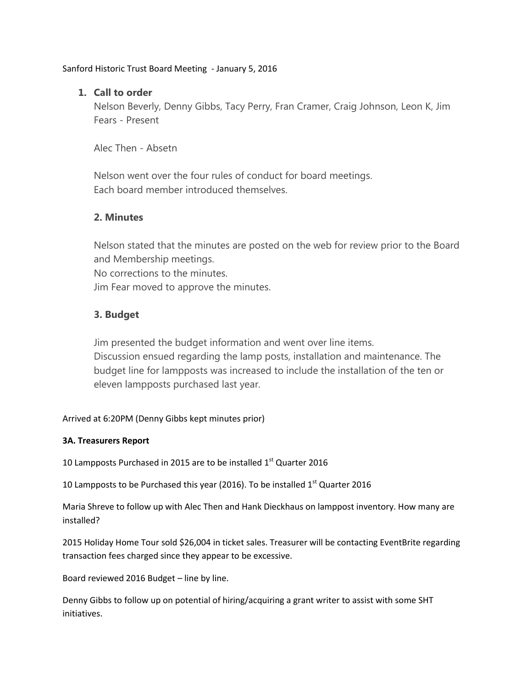Sanford Historic Trust Board Meeting - January 5, 2016

# **1. Call to order**

Nelson Beverly, Denny Gibbs, Tacy Perry, Fran Cramer, Craig Johnson, Leon K, Jim Fears - Present

Alec Then - Absetn

Nelson went over the four rules of conduct for board meetings. Each board member introduced themselves.

## **2. Minutes**

Nelson stated that the minutes are posted on the web for review prior to the Board and Membership meetings. No corrections to the minutes. Jim Fear moved to approve the minutes.

# **3. Budget**

Jim presented the budget information and went over line items. Discussion ensued regarding the lamp posts, installation and maintenance. The budget line for lampposts was increased to include the installation of the ten or eleven lampposts purchased last year.

Arrived at 6:20PM (Denny Gibbs kept minutes prior)

## **3A. Treasurers Report**

10 Lampposts Purchased in 2015 are to be installed  $1<sup>st</sup>$  Quarter 2016

10 Lampposts to be Purchased this year (2016). To be installed  $1<sup>st</sup>$  Quarter 2016

Maria Shreve to follow up with Alec Then and Hank Dieckhaus on lamppost inventory. How many are installed?

2015 Holiday Home Tour sold \$26,004 in ticket sales. Treasurer will be contacting EventBrite regarding transaction fees charged since they appear to be excessive.

Board reviewed 2016 Budget – line by line.

Denny Gibbs to follow up on potential of hiring/acquiring a grant writer to assist with some SHT initiatives.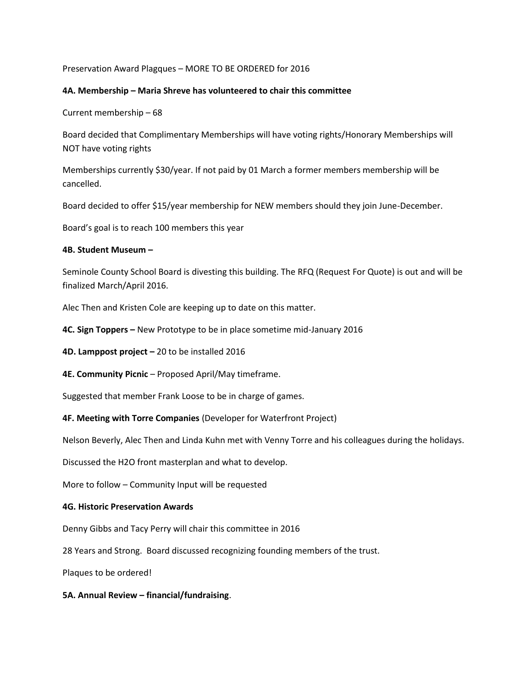Preservation Award Plagques – MORE TO BE ORDERED for 2016

### **4A. Membership – Maria Shreve has volunteered to chair this committee**

Current membership – 68

Board decided that Complimentary Memberships will have voting rights/Honorary Memberships will NOT have voting rights

Memberships currently \$30/year. If not paid by 01 March a former members membership will be cancelled.

Board decided to offer \$15/year membership for NEW members should they join June-December.

Board's goal is to reach 100 members this year

### **4B. Student Museum –**

Seminole County School Board is divesting this building. The RFQ (Request For Quote) is out and will be finalized March/April 2016.

Alec Then and Kristen Cole are keeping up to date on this matter.

**4C. Sign Toppers –** New Prototype to be in place sometime mid-January 2016

**4D. Lamppost project –** 20 to be installed 2016

**4E. Community Picnic** – Proposed April/May timeframe.

Suggested that member Frank Loose to be in charge of games.

**4F. Meeting with Torre Companies** (Developer for Waterfront Project)

Nelson Beverly, Alec Then and Linda Kuhn met with Venny Torre and his colleagues during the holidays.

Discussed the H2O front masterplan and what to develop.

More to follow – Community Input will be requested

#### **4G. Historic Preservation Awards**

Denny Gibbs and Tacy Perry will chair this committee in 2016

28 Years and Strong. Board discussed recognizing founding members of the trust.

Plaques to be ordered!

#### **5A. Annual Review – financial/fundraising**.